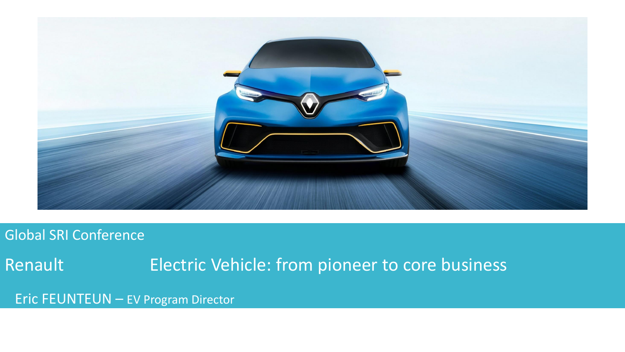

#### Global SRI Conference

Renault Electric Vehicle: from pioneer to core business

Eric FEUNTEUN – EV Program Director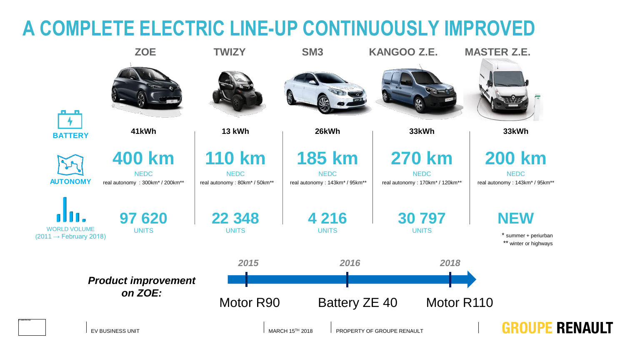## **A COMPLETE ELECTRIC LINE-UP CONTINUOUSLY IMPROVED**

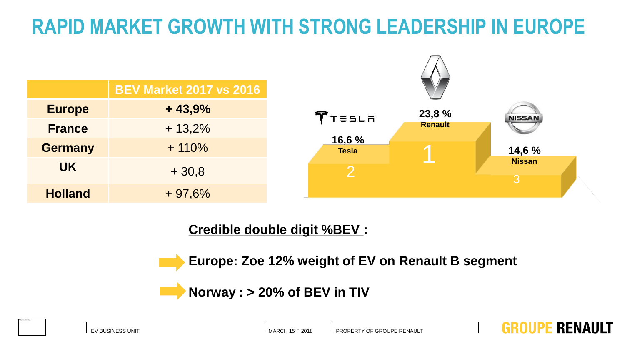# **RAPID MARKET GROWTH WITH STRONG LEADERSHIP IN EUROPE**



#### **Credible double digit %BEV :**

**Europe: Zoe 12% weight of EV on Renault B segment**

**Norway : > 20% of BEV in TIV**

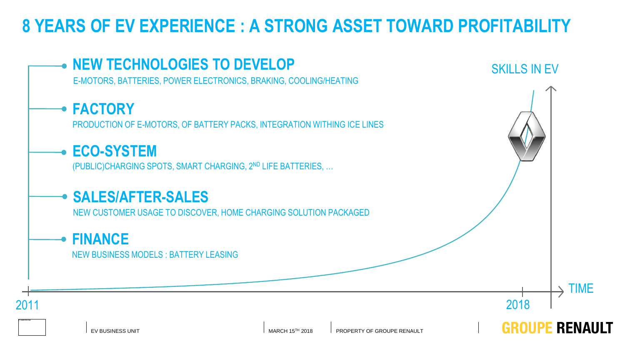### **8 YEARS OF EV EXPERIENCE : A STRONG ASSET TOWARD PROFITABILITY**

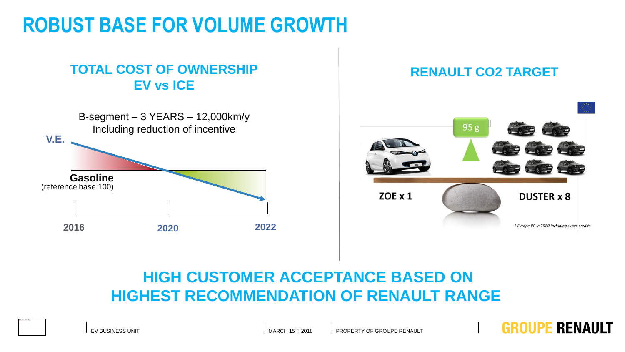# **ROBUST BASE FOR VOLUME GROWTH**

### **TOTAL COST OF OWNERSHIP EV vs ICE**





**GROUPE RENAULT** 

### **HIGH CUSTOMER ACCEPTANCE BASED ON HIGHEST RECOMMENDATION OF RENAULT RANGE**

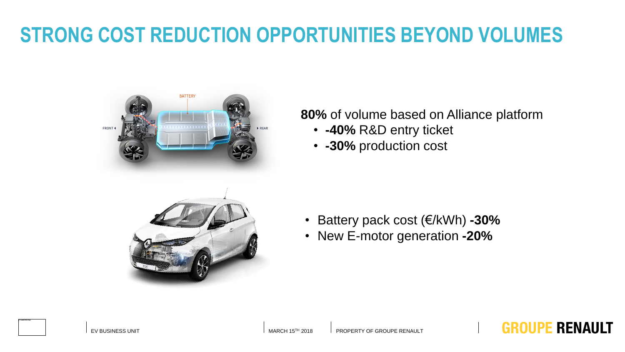# **STRONG COST REDUCTION OPPORTUNITIES BEYOND VOLUMES**



#### **80%** of volume based on Alliance platform

- **-40%** R&D entry ticket
- **-30%** production cost



#### • Battery pack cost (€/kWh) **-30%**

• New E-motor generation **-20%** 



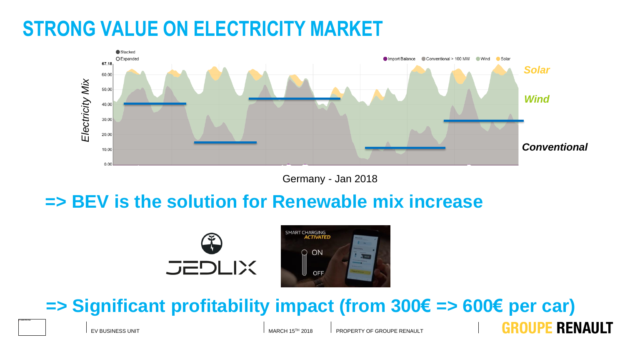## **STRONG VALUE ON ELECTRICITY MARKET**



#### Germany - Jan 2018

### **=> BEV is the solution for Renewable mix increase**





**=> Significant profitability impact (from 300€ => 600€ per car)**



EV BUSINESS UNIT FOR A STREAM AND THE MARCH 15<sup>TH</sup> 2018 PROPERTY OF GROUPE RENAULT

GROUPE RENAULT